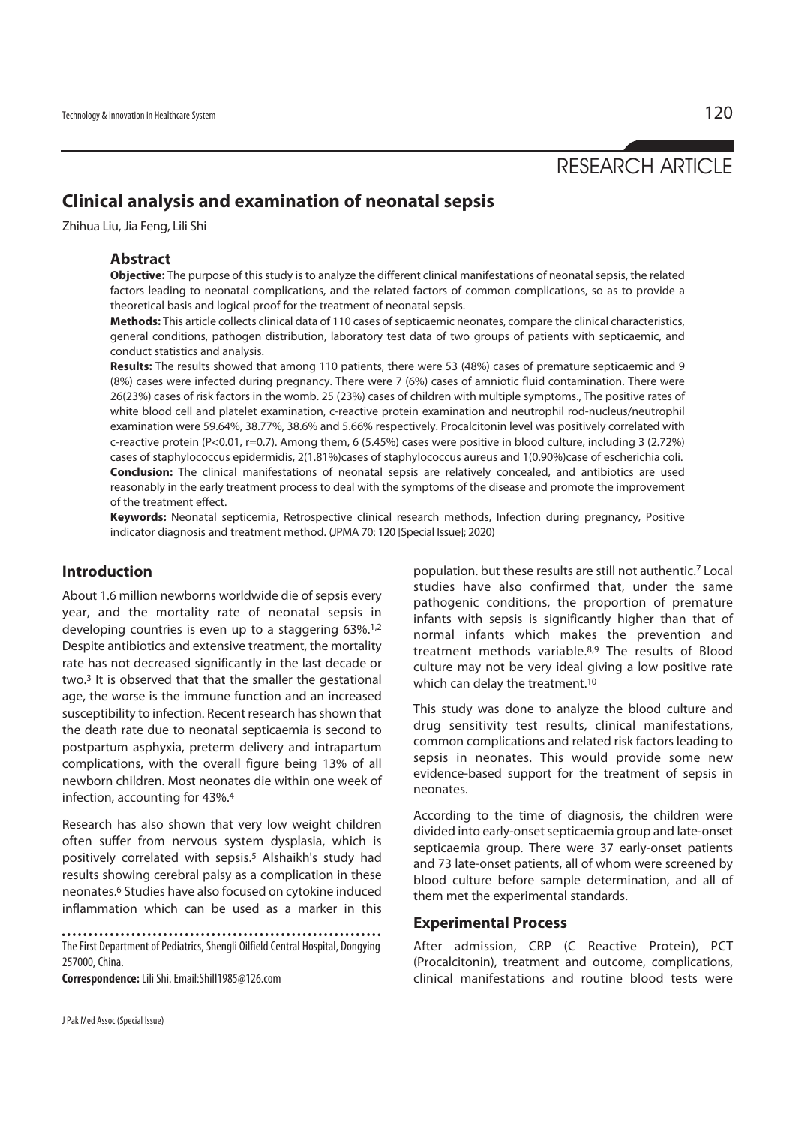RESEARCH ARTICLE

# **Clinical analysis and examination of neonatal sepsis**

Zhihua Liu, Jia Feng, Lili Shi

### **Abstract**

**Objective:** The purpose of this study is to analyze the different clinical manifestations of neonatal sepsis, the related factors leading to neonatal complications, and the related factors of common complications, so as to provide a theoretical basis and logical proof for the treatment of neonatal sepsis.

**Methods:** This article collects clinical data of 110 cases of septicaemic neonates, compare the clinical characteristics, general conditions, pathogen distribution, laboratory test data of two groups of patients with septicaemic, and conduct statistics and analysis.

**Results:** The results showed that among 110 patients, there were 53 (48%) cases of premature septicaemic and 9 (8%) cases were infected during pregnancy. There were 7 (6%) cases of amniotic fluid contamination. There were 26(23%) cases of risk factors in the womb. 25 (23%) cases of children with multiple symptoms., The positive rates of white blood cell and platelet examination, c-reactive protein examination and neutrophil rod-nucleus/neutrophil examination were 59.64%, 38.77%, 38.6% and 5.66% respectively. Procalcitonin level was positively correlated with c-reactive protein (P<0.01, r=0.7). Among them, 6 (5.45%) cases were positive in blood culture, including 3 (2.72%) cases of staphylococcus epidermidis, 2(1.81%)cases of staphylococcus aureus and 1(0.90%)case of escherichia coli. **Conclusion:** The clinical manifestations of neonatal sepsis are relatively concealed, and antibiotics are used reasonably in the early treatment process to deal with the symptoms of the disease and promote the improvement of the treatment effect.

**Keywords:** Neonatal septicemia, Retrospective clinical research methods, Infection during pregnancy, Positive indicator diagnosis and treatment method. (JPMA 70: 120 [Special Issue]; 2020)

### **Introduction**

About 1.6 million newborns worldwide die of sepsis every year, and the mortality rate of neonatal sepsis in developing countries is even up to a staggering 63%.1,2 Despite antibiotics and extensive treatment, the mortality rate has not decreased significantly in the last decade or two.3 It is observed that that the smaller the gestational age, the worse is the immune function and an increased susceptibility to infection. Recent research has shown that the death rate due to neonatal septicaemia is second to postpartum asphyxia, preterm delivery and intrapartum complications, with the overall figure being 13% of all newborn children. Most neonates die within one week of infection, accounting for 43%.4

Research has also shown that very low weight children often suffer from nervous system dysplasia, which is positively correlated with sepsis.5 Alshaikh's study had results showing cerebral palsy as a complication in these neonates.6 Studies have also focused on cytokine induced inflammation which can be used as a marker in this

The First Department of Pediatrics, Shengli Oilfield Central Hospital, Dongying 257000, China.

**Correspondence:** Lili Shi. Email:Shill1985@126.com

population. but these results are still not authentic.7 Local studies have also confirmed that, under the same pathogenic conditions, the proportion of premature infants with sepsis is significantly higher than that of normal infants which makes the prevention and treatment methods variable.8,9 The results of Blood culture may not be very ideal giving a low positive rate which can delay the treatment.<sup>10</sup>

This study was done to analyze the blood culture and drug sensitivity test results, clinical manifestations, common complications and related risk factors leading to sepsis in neonates. This would provide some new evidence-based support for the treatment of sepsis in neonates.

According to the time of diagnosis, the children were divided into early-onset septicaemia group and late-onset septicaemia group. There were 37 early-onset patients and 73 late-onset patients, all of whom were screened by blood culture before sample determination, and all of them met the experimental standards.

#### **Experimental Process**

After admission, CRP (C Reactive Protein), PCT (Procalcitonin), treatment and outcome, complications, clinical manifestations and routine blood tests were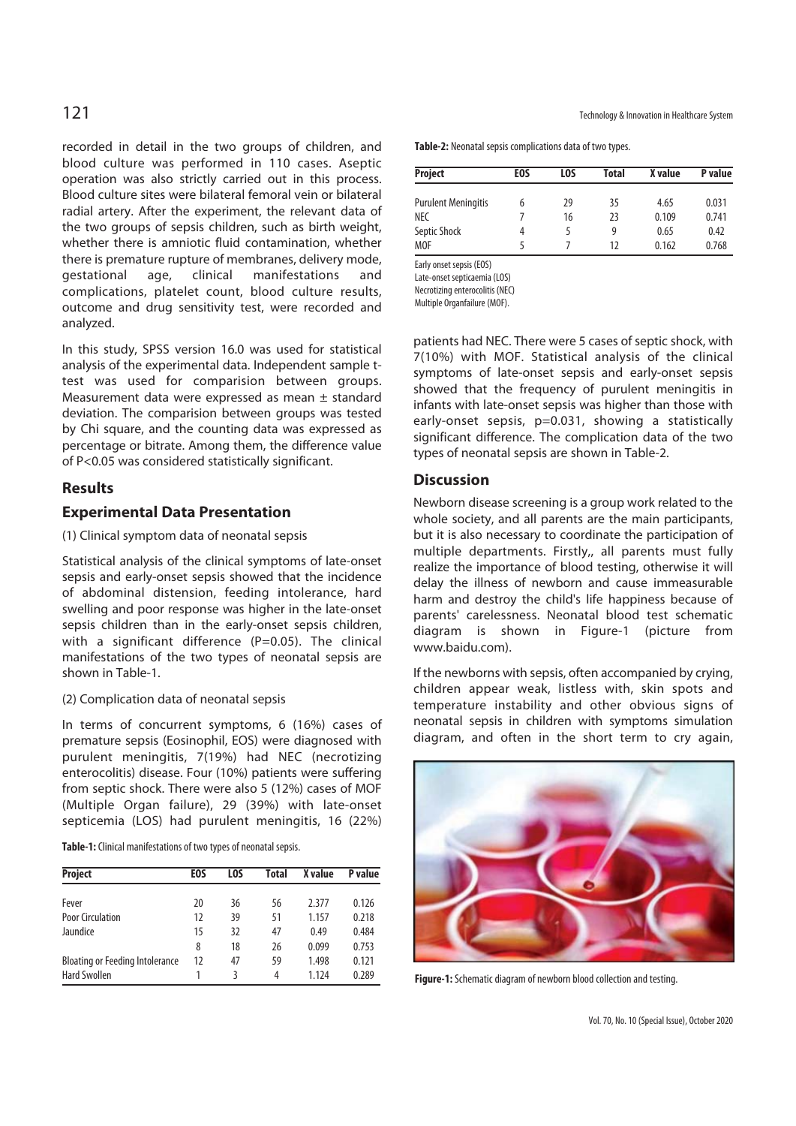recorded in detail in the two groups of children, and blood culture was performed in 110 cases. Aseptic operation was also strictly carried out in this process. Blood culture sites were bilateral femoral vein or bilateral radial artery. After the experiment, the relevant data of the two groups of sepsis children, such as birth weight, whether there is amniotic fluid contamination, whether there is premature rupture of membranes, delivery mode, gestational age, clinical manifestations and complications, platelet count, blood culture results, outcome and drug sensitivity test, were recorded and analyzed.

In this study, SPSS version 16.0 was used for statistical analysis of the experimental data. Independent sample ttest was used for comparision between groups. Measurement data were expressed as mean ± standard deviation. The comparision between groups was tested by Chi square, and the counting data was expressed as percentage or bitrate. Among them, the difference value of P<0.05 was considered statistically significant.

# **Results**

# **Experimental Data Presentation**

(1) Clinical symptom data of neonatal sepsis

Statistical analysis of the clinical symptoms of late-onset sepsis and early-onset sepsis showed that the incidence of abdominal distension, feeding intolerance, hard swelling and poor response was higher in the late-onset sepsis children than in the early-onset sepsis children, with a significant difference (P=0.05). The clinical manifestations of the two types of neonatal sepsis are shown in Table-1.

#### (2) Complication data of neonatal sepsis

In terms of concurrent symptoms, 6 (16%) cases of premature sepsis (Eosinophil, EOS) were diagnosed with purulent meningitis, 7(19%) had NEC (necrotizing enterocolitis) disease. Four (10%) patients were suffering from septic shock. There were also 5 (12%) cases of MOF (Multiple Organ failure), 29 (39%) with late-onset septicemia (LOS) had purulent meningitis, 16 (22%)

| <b>Project</b>                         | <b>EOS</b> | LOS | Total | X value | P value |
|----------------------------------------|------------|-----|-------|---------|---------|
| Fever                                  | 20         | 36  | 56    | 2.377   | 0.126   |
| <b>Poor Circulation</b>                | 12         | 39  | 51    | 1.157   | 0.218   |
| Jaundice                               | 15         | 32  | 47    | 0.49    | 0.484   |
|                                        | 8          | 18  | 26    | 0.099   | 0.753   |
| <b>Bloating or Feeding Intolerance</b> | 12         | 47  | 59    | 1.498   | 0.121   |
| <b>Hard Swollen</b>                    |            | 3   | 4     | 1.124   | 0.289   |

**Table-2:** Neonatal sepsis complications data of two types.

| <b>Project</b>             | <b>EOS</b> | LOS | Total | X value | P value |
|----------------------------|------------|-----|-------|---------|---------|
| <b>Purulent Meningitis</b> | 6          | 29  | 35    | 4.65    | 0.031   |
| NEC                        |            | 16  | 23    | 0.109   | 0.741   |
| Septic Shock               | 4          |     | 9     | 0.65    | 0.42    |
| <b>MOF</b>                 |            |     | 12    | 0.162   | 0.768   |

Early onset sepsis (EOS)

Late-onset septicaemia (LOS)

Necrotizing enterocolitis (NEC)

Multiple Organfailure (MOF).

patients had NEC. There were 5 cases of septic shock, with 7(10%) with MOF. Statistical analysis of the clinical symptoms of late-onset sepsis and early-onset sepsis showed that the frequency of purulent meningitis in infants with late-onset sepsis was higher than those with early-onset sepsis, p=0.031, showing a statistically significant difference. The complication data of the two types of neonatal sepsis are shown in Table-2.

### **Discussion**

Newborn disease screening is a group work related to the whole society, and all parents are the main participants, but it is also necessary to coordinate the participation of multiple departments. Firstly,, all parents must fully realize the importance of blood testing, otherwise it will delay the illness of newborn and cause immeasurable harm and destroy the child's life happiness because of parents' carelessness. Neonatal blood test schematic diagram is shown in Figure-1 (picture from www.baidu.com).

If the newborns with sepsis, often accompanied by crying, children appear weak, listless with, skin spots and temperature instability and other obvious signs of neonatal sepsis in children with symptoms simulation diagram, and often in the short term to cry again,



**Figure-1:** Schematic diagram of newborn blood collection and testing.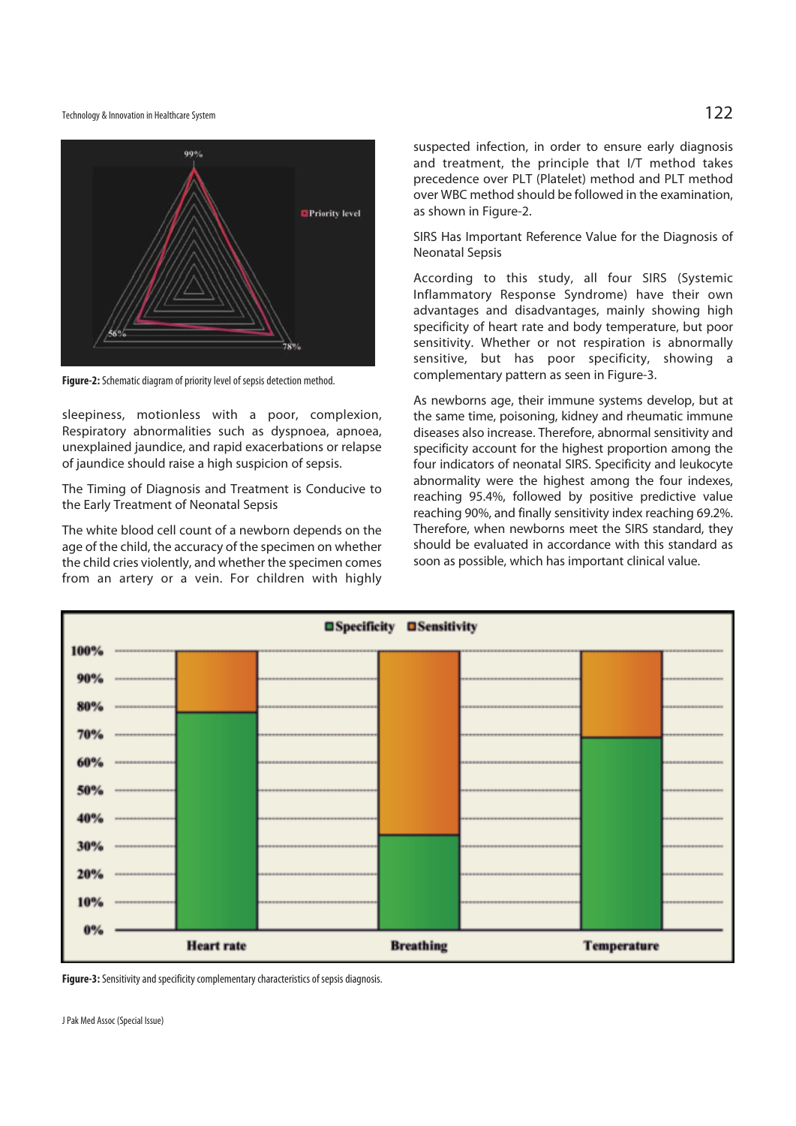Technology & Innovation in Healthcare System  $122$ 



**Figure-2:** Schematic diagram of priority level of sepsis detection method.

sleepiness, motionless with a poor, complexion, Respiratory abnormalities such as dyspnoea, apnoea, unexplained jaundice, and rapid exacerbations or relapse of jaundice should raise a high suspicion of sepsis.

The Timing of Diagnosis and Treatment is Conducive to the Early Treatment of Neonatal Sepsis

The white blood cell count of a newborn depends on the age of the child, the accuracy of the specimen on whether the child cries violently, and whether the specimen comes from an artery or a vein. For children with highly suspected infection, in order to ensure early diagnosis and treatment, the principle that I/T method takes precedence over PLT (Platelet) method and PLT method over WBC method should be followed in the examination, as shown in Figure-2.

SIRS Has Important Reference Value for the Diagnosis of Neonatal Sepsis

According to this study, all four SIRS (Systemic Inflammatory Response Syndrome) have their own advantages and disadvantages, mainly showing high specificity of heart rate and body temperature, but poor sensitivity. Whether or not respiration is abnormally sensitive, but has poor specificity, showing a complementary pattern as seen in Figure-3.

As newborns age, their immune systems develop, but at the same time, poisoning, kidney and rheumatic immune diseases also increase. Therefore, abnormal sensitivity and specificity account for the highest proportion among the four indicators of neonatal SIRS. Specificity and leukocyte abnormality were the highest among the four indexes, reaching 95.4%, followed by positive predictive value reaching 90%, and finally sensitivity index reaching 69.2%. Therefore, when newborns meet the SIRS standard, they should be evaluated in accordance with this standard as soon as possible, which has important clinical value.



**Figure-3:** Sensitivity and specificity complementary characteristics of sepsis diagnosis.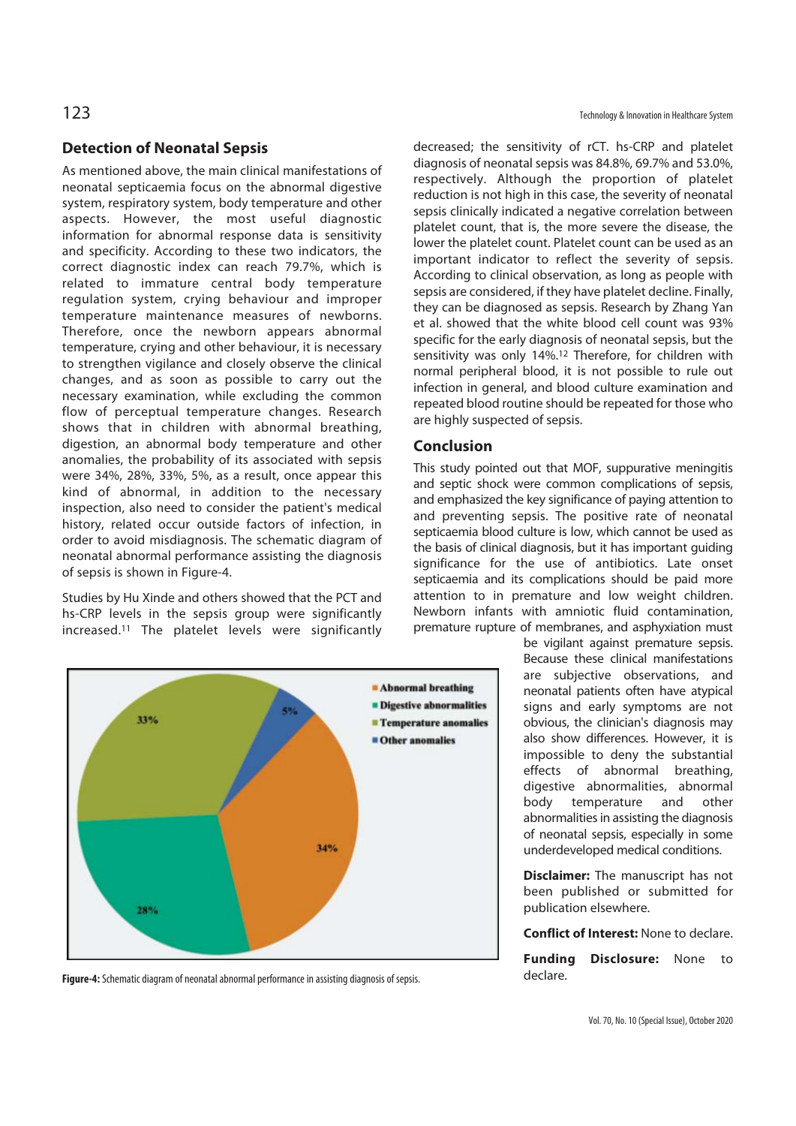# **Detection of Neonatal Sepsis**

As mentioned above, the main clinical manifestations of neonatal septicaemia focus on the abnormal digestive system, respiratory system, body temperature and other aspects. However, the most useful diagnostic information for abnormal response data is sensitivity and specificity. According to these two indicators, the correct diagnostic index can reach 79.7%, which is related to immature central body temperature regulation system, crying behaviour and improper temperature maintenance measures of newborns. Therefore, once the newborn appears abnormal temperature, crying and other behaviour, it is necessary to strengthen vigilance and closely observe the clinical changes, and as soon as possible to carry out the necessary examination, while excluding the common flow of perceptual temperature changes. Research shows that in children with abnormal breathing, digestion, an abnormal body temperature and other anomalies, the probability of its associated with sepsis were 34%, 28%, 33%, 5%, as a result, once appear this kind of abnormal, in addition to the necessary inspection, also need to consider the patient's medical history, related occur outside factors of infection, in order to avoid misdiagnosis. The schematic diagram of neonatal abnormal performance assisting the diagnosis of sepsis is shown in Figure-4.

Studies by Hu Xinde and others showed that the PCT and hs-CRP levels in the sepsis group were significantly increased.11 The platelet levels were significantly

 $123$  Technology & Innovation in Healthcare System

decreased; the sensitivity of rCT. hs-CRP and platelet diagnosis of neonatal sepsis was 84.8%, 69.7% and 53.0%, respectively. Although the proportion of platelet reduction is not high in this case, the severity of neonatal sepsis clinically indicated a negative correlation between platelet count, that is, the more severe the disease, the lower the platelet count. Platelet count can be used as an important indicator to reflect the severity of sepsis. According to clinical observation, as long as people with sepsis are considered, if they have platelet decline. Finally, they can be diagnosed as sepsis. Research by Zhang Yan et al. showed that the white blood cell count was 93% specific for the early diagnosis of neonatal sepsis, but the sensitivity was only 14%.<sup>12</sup> Therefore, for children with normal peripheral blood, it is not possible to rule out infection in general, and blood culture examination and repeated blood routine should be repeated for those who are highly suspected of sepsis.

# **Conclusion**

This study pointed out that MOF, suppurative meningitis and septic shock were common complications of sepsis, and emphasized the key significance of paying attention to and preventing sepsis. The positive rate of neonatal septicaemia blood culture is low, which cannot be used as the basis of clinical diagnosis, but it has important guiding significance for the use of antibiotics. Late onset septicaemia and its complications should be paid more attention to in premature and low weight children. Newborn infants with amniotic fluid contamination, premature rupture of membranes, and asphyxiation must



**Figure-4:** Schematic diagram of neonatal abnormal performance in assisting diagnosis of sepsis.

be vigilant against premature sepsis. Because these clinical manifestations are subjective observations, and neonatal patients often have atypical signs and early symptoms are not obvious, the clinician's diagnosis may also show differences. However, it is impossible to deny the substantial effects of abnormal breathing, digestive abnormalities, abnormal body temperature and other abnormalities in assisting the diagnosis of neonatal sepsis, especially in some underdeveloped medical conditions.

**Disclaimer:** The manuscript has not been published or submitted for publication elsewhere.

**Conflict of Interest:** None to declare.

**Funding Disclosure:** None to declare.